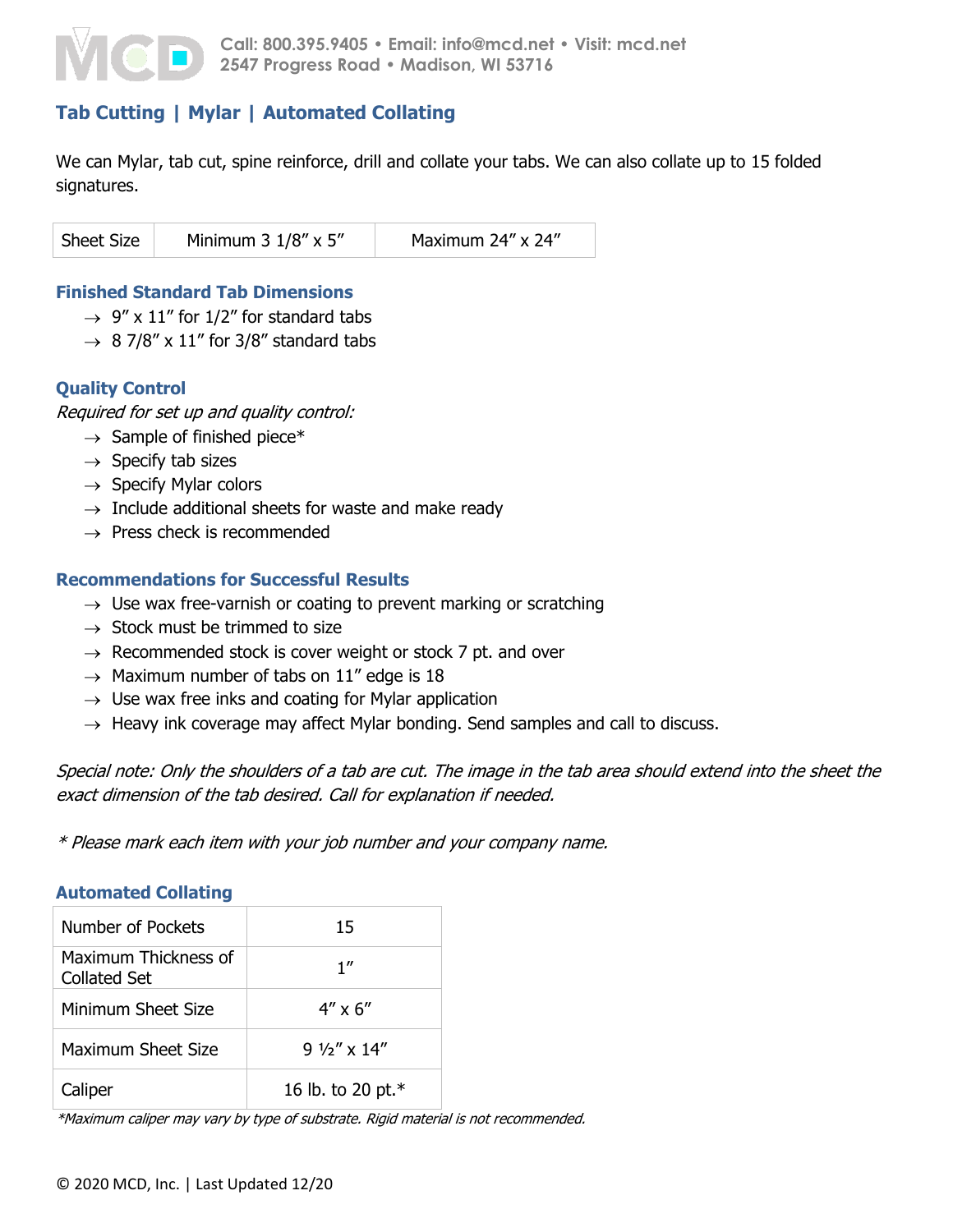

# **Tab Cutting | Mylar | Automated Collating**

We can Mylar, tab cut, spine reinforce, drill and collate your tabs. We can also collate up to 15 folded signatures.

| Sheet Size | Minimum $3 \frac{1}{8}$ x $5$ " | Maximum 24" x 24" |
|------------|---------------------------------|-------------------|
|            |                                 |                   |

### **Finished Standard Tab Dimensions**

- $\rightarrow$  9" x 11" for 1/2" for standard tabs
- $\rightarrow$  8 7/8" x 11" for 3/8" standard tabs

### **Quality Control**

Required for set up and quality control:

- $\rightarrow$  Sample of finished piece\*
- $\rightarrow$  Specify tab sizes
- $\rightarrow$  Specify Mylar colors
- $\rightarrow$  Include additional sheets for waste and make ready
- $\rightarrow$  Press check is recommended

### **Recommendations for Successful Results**

- $\rightarrow$  Use wax free-varnish or coating to prevent marking or scratching
- $\rightarrow$  Stock must be trimmed to size
- $\rightarrow$  Recommended stock is cover weight or stock 7 pt. and over
- $\rightarrow$  Maximum number of tabs on 11" edge is 18
- $\rightarrow$  Use wax free inks and coating for Mylar application
- $\rightarrow$  Heavy ink coverage may affect Mylar bonding. Send samples and call to discuss.

Special note: Only the shoulders of a tab are cut. The image in the tab area should extend into the sheet the exact dimension of the tab desired. Call for explanation if needed.

\* Please mark each item with your job number and your company name.

#### **Automated Collating**

| Number of Pockets                    | 15                   |
|--------------------------------------|----------------------|
| Maximum Thickness of<br>Collated Set | 1''                  |
| Minimum Sheet Size                   | $4'' \times 6''$     |
| Maximum Sheet Size                   | $9\frac{1}{9}$ x 14" |
| Caliper                              | 16 lb. to 20 pt.*    |

\*Maximum caliper may vary by type of substrate. Rigid material is not recommended.